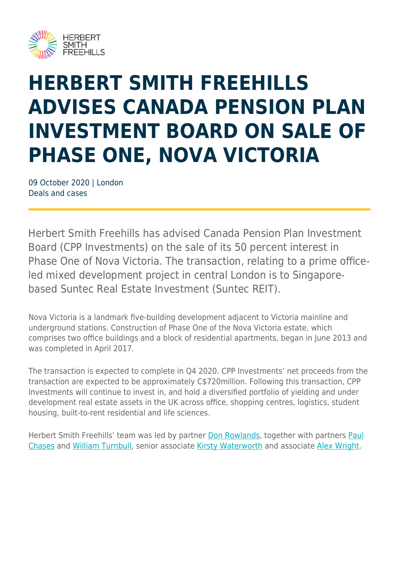

## **HERBERT SMITH FREEHILLS ADVISES CANADA PENSION PLAN INVESTMENT BOARD ON SALE OF PHASE ONE, NOVA VICTORIA**

09 October 2020 | London Deals and cases

Herbert Smith Freehills has advised Canada Pension Plan Investment Board (CPP Investments) on the sale of its 50 percent interest in Phase One of Nova Victoria. The transaction, relating to a prime officeled mixed development project in central London is to Singaporebased Suntec Real Estate Investment (Suntec REIT).

Nova Victoria is a landmark five-building development adjacent to Victoria mainline and underground stations. Construction of Phase One of the Nova Victoria estate, which comprises two office buildings and a block of residential apartments, began in June 2013 and was completed in April 2017.

The transaction is expected to complete in Q4 2020. CPP Investments' net proceeds from the transaction are expected to be approximately C\$720million. Following this transaction, CPP Investments will continue to invest in, and hold a diversified portfolio of yielding and under development real estate assets in the UK across office, shopping centres, logistics, student housing, built-to-rent residential and life sciences.

Herbert Smith Freehills' team was led by partner [Don Rowlands,](https://www.herbertsmithfreehills.com/our-people/donald-rowlands) together with partners [Paul](https://www.herbertsmithfreehills.com/our-people/paul-chases) [Chases](https://www.herbertsmithfreehills.com/our-people/paul-chases) and [William Turnbull](https://www.herbertsmithfreehills.com/our-people/william-turnbull), senior associate [Kirsty Waterworth](https://www.herbertsmithfreehills.com/our-people/kirsty-waterworth) and associate [Alex Wright](https://www.herbertsmithfreehills.com/our-people/alex-wright).